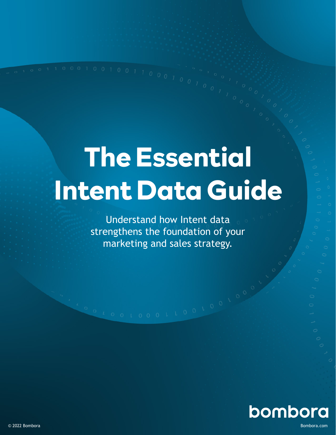# **The Essential Intent Data Guide**

Understand how Intent data strengthens the foundation of your marketing and sales strategy.

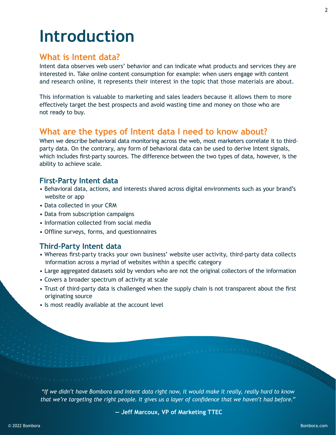## **Introduction**

### **What is Intent data?**

Intent data observes web users' behavior and can indicate what products and services they are interested in. Take online content consumption for example: when users engage with content and research online, it represents their interest in the topic that those materials are about.

This information is valuable to marketing and sales leaders because it allows them to more effectively target the best prospects and avoid wasting time and money on those who are not ready to buy.

### **What are the types of Intent data I need to know about?**

When we describe behavioral data monitoring across the web, most marketers correlate it to thirdparty data. On the contrary, any form of behavioral data can be used to derive Intent signals, which includes first-party sources. The difference between the two types of data, however, is the ability to achieve scale.

#### **First-Party Intent data**

- Behavioral data, actions, and interests shared across digital environments such as your brand's website or app
- Data collected in your CRM
- Data from subscription campaigns
- Information collected from social media
- Offline surveys, forms, and questionnaires

#### **Third-Party Intent data**

- Whereas first-party tracks your own business' website user activity, third-party data collects information across a myriad of websites within a specific category
- Large aggregated datasets sold by vendors who are not the original collectors of the information
- Covers a broader spectrum of activity at scale
- Trust of third-party data is challenged when the supply chain is not transparent about the first originating source
- Is most readily available at the account level

*"If we didn't have Bombora and Intent data right now, it would make it really, really hard to know that we're targeting the right people. It gives us a layer of confidence that we haven't had before."*

**― Jeff Marcoux, VP of Marketing TTEC**

2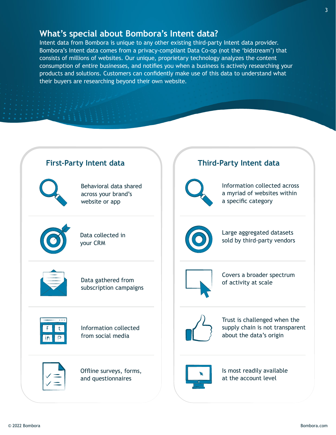#### **What's special about Bombora's Intent data?**

Intent data from Bombora is unique to any other existing third-party Intent data provider. Bombora's Intent data comes from a privacy-compliant Data Co-op (not the 'bidstream') that consists of millions of websites. Our unique, proprietary technology analyzes the content consumption of entire businesses, and notifies you when a business is actively researching your products and solutions. Customers can confidently make use of this data to understand what their buyers are researching beyond their own website.

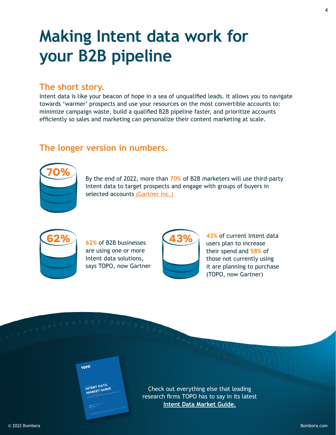### **Making Intent data work for your B2B pipeline**

### **The short story.**

Intent data is like your beacon of hope in a sea of unqualified leads. It allows you to navigate towards 'warmer' prospects and use your resources on the most convertible accounts to: minimize campaign waste, build a qualified B2B pipeline faster, and prioritize accounts efficiently so sales and marketing can personalize their content marketing at scale.

#### **The longer version in numbers.**



By the end of 2022, more than **70%** of B2B marketers will use third-party Intent data to target prospects and engage with groups of buyers in selected accounts [\(Gartner Inc.\)](https://bombora.com/resources/gartner-emerging-technology-analysis-leveraging-intent-data-for-marketing-and-demand-generation/?utm_source=guide&utm_medium=hyperlink&utm_campaign=the-essential-intent-data-guide)



**62% 62%** of B2B businesses **43%** are using one or more Intent data solutions, says TOPO, now Gartner



**43%** of current Intent data users plan to increase their spend and **58%** of those not currently using it are planning to purchase (TOPO, now Gartner)

001100010



Check out everything else that leading research firms TOPO has to say in its latest **[Intent Data Market Guide.](https://bombora.com/resources/topo-intent-data-market-guide/?utm_source=eBook&utm_medium=hyperlink&utm_campaign=the-essential-intent-data-guide)**

4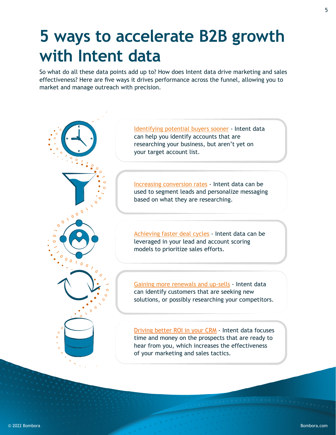### **5 ways to accelerate B2B growth with Intent data**

So what do all these data points add up to? How does Intent data drive marketing and sales effectiveness? Here are five ways it drives performance across the funnel, allowing you to market and manage outreach with precision.

> [Identifying potential buyers sooner](https://bombora.com/case-studies/salesforce/?utm_source=eBook&utm_medium=hyperlink&utm_campaign=the-essential-intent-data-guide) - Intent data can help you identify accounts that are researching your business, but aren't yet on your target account list.

[Increasing conversion rates](https://bombora.com/case-studies/cloudera-2/?utm_source=eBook&utm_medium=hyperlink&utm_campaign=the-essential-intent-data-guide) - Intent data can be used to segment leads and personalize messaging based on what they are researching.

[Achieving faster deal cycles](https://bombora.com/case-studies/onelogin/?utm_source=eBook&utm_medium=hyperlink&utm_campaign=the-essential-intent-data-guide) - Intent data can be leveraged in your lead and account scoring models to prioritize sales efforts.

[Gaining more renewals and up-sells](https://bombora.com/case-studies/exterro/?utm_source=eBook&utm_medium=hyperlink&utm_campaign=the-essential-intent-data-guide) - Intent data can identify customers that are seeking new solutions, or possibly researching your competitors.

[Driving better ROI in your CRM](https://bombora.com/case-studies/hushly/?utm_source=eBook&utm_medium=hyperlink&utm_campaign=the-essential-intent-data-guide) - Intent data focuses time and money on the prospects that are ready to hear from you, which increases the effectiveness of your marketing and sales tactics.

 $000$ 

 $\sigma$  $\overline{O}$ 

 $\circ$  $\circ$